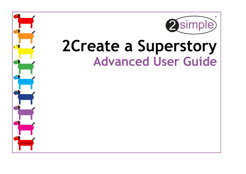

# **2Create a Superstory Advanced User Guide**

SUP\_Adv\_001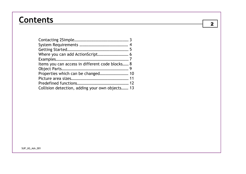### **Contents**

| Items you can access in different code blocks 8 |  |
|-------------------------------------------------|--|
|                                                 |  |
|                                                 |  |
|                                                 |  |
|                                                 |  |
| Collision detection, adding your own objects 13 |  |

2

SUP\_UG\_Adv\_001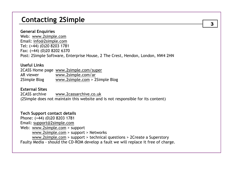### **Contacting 2Simple**

#### **General Enquiries**

Web: www.2simple.com Email: info@2simple.com Tel: (+44) (0)20 8203 1781 Fax: (+44) (0)20 8202 6370 Post: 2Simple Software, Enterprise House, 2 The Crest, Hendon, London, NW4 2HN

#### **Useful Links**

2CASS Home page www.2simple.com/super AR viewer www.2simple.com/ar2Simple Blog vww.2simple.com > 2Simple Blog

#### **External Sites**

2CASS archive www.2cassarchive.co.uk (2Simple does not maintain this website and is not responsible for its content)

### **Tech Support contact details**

Phone: (+44) (0)20 8203 1781 Email: support@2simple.comWeb: www.2simple.com > support www.2simple.com > support > Networks www.2simple.com > support > technical questions > 2Create a Superstory Faulty Media - should the CD-ROM develop a fault we will replace it free of charge. 3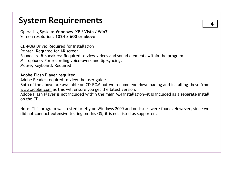### 4 **System Requirements**

Operating System: **Windows XP / Vista / Win7**Screen resolution: **1024 x 600 or above** 

CD-ROM Drive: Required for Installation Printer: Required for AR screen Soundcard & speakers: Required to view videos and sound elements within the program Microphone: For recording voice-overs and lip-syncing. Mouse, Keyboard: Required

#### **Adobe Flash Player required**

 Adobe Reader required to view the user guide Both of the above are available on CD-ROM but we recommend downloading and installing these from www.adobe.com as this will ensure you get the latest version.

 Adobe Flash Player is not included within the main MSI installation—it is included as a separate install on the CD.

Note: This program was tested briefly on Windows 2000 and no issues were found. However, since we did not conduct extensive testing on this OS, it is not listed as supported.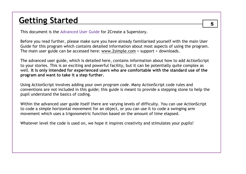### **Getting Started** 5

This document is the Advanced User Guide for 2Create a Superstory.

Before you read further, please make sure you have already familiarised yourself with the main User Guide for this program which contains detailed information about most aspects of using the program. The main user guide can be accessed here: www.2simple.com > support > downloads.

The advanced user guide, which is detailed here, contains information about how to add ActionScript to your stories. This is an exciting and powerful facility, but it can be potentially quite complex as well. **It is only intended for experienced users who are comfortable with the standard use of the program and want to take it a step further.**

Using ActionScript involves adding your own *program code*. Many ActionScript code rules and conventions are not included in this guide; this guide is meant to provide a stepping stone to help the pupil understand the basics of coding.

Within the advanced user guide itself there are varying levels of difficulty. You can use ActionScriptto code a simple horizontal movement for an object, or you can use it to code a swinging arm movement which uses a trigonometric function based on the amount of time elapsed.

Whatever level the code is used on, we hope it inspires creativity and stimulates your pupils!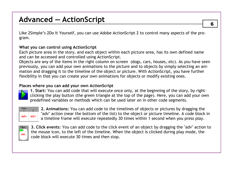Like 2Simple's 2Do It Yourself, you can use Adobe ActionScript 2 to control many aspects of the program.

### **What you can control using ActionScript**

 Each picture area in the story, and each object within each picture area, has its own defined name and can be accessed and controlled using ActionScript.

 Objects are any of the items in the right column on screen (dogs, cars, houses, etc). As you have seen previously, you can add your own animations to the picture and to objects by simply selecting an animation and dragging it to the timeline of the object or picture. With ActionScript, you have further flexibility in that you can create your own animations for objects or modify existing ones.

### **Places where you can add your own ActionScript**



 **1. Start:** You can add code that will execute once only, at the beginning of the story, by rightclicking the play button (the green triangle at the top of the page). Here, you can add your own predefined variables or methods which can be used later on in other code segments.



**2. Animations:** You can add code to the timelines of objects or pictures by dragging the "adv" action (near the bottom of the list) to the object or picture timeline. A code block in a timeline frame will execute repeatedly 30 times within 1 second when you press play.



**3. Click events**: You can add code to the click event of an object by dragging the "adv" action to the mouse icon, to the left of the timeline. When the object is clicked during play mode, the code block will execute 30 times and then stop.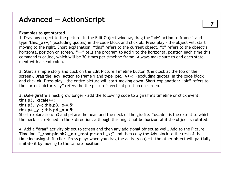#### **Examples to get started**

 1. Drag any object to the picture. In the Edit Object window, drag the "adv" action to frame 1 and type "**this.\_x++;**" (excluding quotes) in the code block and click ok. Press play - the object will start moving to the right. Short explanation: "this" refers to the current object. "x" refers to the object's horizontal position on screen. "++" tells the program to add 1 to the horizontal position each time this command is called, which will be 30 times per timeline frame. Always make sure to end each statement with a semi-colon.

2. Start a simple story and click on the Edit Picture Timeline button (the clock at the top of the screen). Drag the "adv" action to frame 1 and type "**pic.\_y++;**" (excluding quotes) in the code block and click ok. Press play - the entire picture will start moving down. Short explanation: "pic" refers to the current picture. "y" refers the the picture's vertical position on screen.

3. Make giraffe's neck grow longer - add the following code to a giraffe's timeline or click event. **this.p3.\_xscale++; this.p3.\_y--; this.p3.\_x-=.5; this.p4.\_y--; this.p4.\_x-=.5;**  Short explanation: p3 and p4 are the head and the neck of the giraffe. "xscale" is the extent to whichthe neck is stretched in the x direction, although this might not be horizontal if the object is rotated.

4. Add a "drag" activity object to screen and then any additional object as well. Add to the Picture Timeline: "**\_root.pic.ob2.\_x = \_root.pic.ob1.\_x;**" and then copy the Adv block to the rest of the timeline using shift+click. Press play: when you drag the activity object, the other object will partially imitate it by moving to the same x position.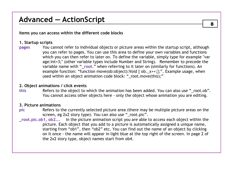**Items you can access within the different code blocks** 

### **1. Startup scripts**

 **pages** You cannot refer to individual objects or picture areas within the startup script, although you can refer to pages. You can use this area to define your own variables and functions which you can then refer to later on. To define the variable, simply type for example "var age:int=3;" (other variable types include Number and String). Remember to precede the variable name with "**\_root.**" when referring to it later on (similarly for functions). An example function: "function move(ob:object):Void { ob.\_x++;};". Example usage, when used within an object animation code block: "\_root.move(this);"

#### **2. Object animations / click events**

 **this** Refers to the object to which the animation has been added. You can also use "\_root.ob". You cannot access other objects here - only the object whose animation you are editing.

#### **3. Picture animations**

- **pic** Refers to the currently selected picture area (there may be multiple picture areas on the screen, eg 2x2 story type). You can also use "\_root.pic".
- **\_root.pic.ob1, ob2...** In the picture animation script you are able to access each object within the picture. Each object that you add to a picture is automatically assigned a unique name, starting from "ob1", then "ob2" etc. You can find out the name of an object by clicking on it once - the name will appear in light blue at the top right of the screen. In page 2 of the 2x2 story type, object names start from ob4.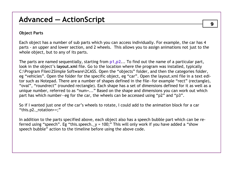### **Object Parts**

Each object has a number of sub parts which you can access individually. For example, the car has 4 parts - an upper and lower section, and 2 wheels. This allows you to assign animations not just to the whole object, but to any of its parts.

The parts are named sequentially, starting from **p1,p2**... To find out the name of a particular part, look in the object's **layout.xml** file. Go to the location where the program was installed, typically C:\Program Files\2Simple Software\2CASS. Open the "objects" folder, and then the categories folder, eg "vehicles". Open the folder for the specific object, eg "car". Open the layout.xml file in a text editor such as Notepad. There are a number of shapes defined in the file—for example "rect" (rectangle), "oval", "roundrect" (rounded rectangle). Each shape has a set of dimensions defined for it as well as a unique number, referred to as "num=..." Based on the shape and dimensions you can work out which part has which number—eg for the car, the wheels can be accessed using "p2" and "p3".

So if I wanted just one of the car's wheels to rotate, I could add to the animation block for a car "this.p2.\_rotation++;"

In addition to the parts specified above, each object also has a speech bubble part which can be referred using "speech". Eg "this.speech.\_y = 100;" This will only work if you have added a "show speech bubble" action to the timeline before using the above code.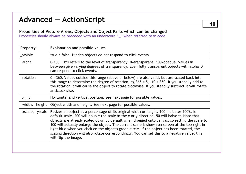### **Properties of Picture Areas, Objects and Object Parts which can be changed**

Properties should always be preceded with an underscore "\_" when referred to in code.

| Property        | <b>Explanation and possible values</b>                                                                                                                                                                                                                                                                                                                                                                                                                                                                                                                                                                                |
|-----------------|-----------------------------------------------------------------------------------------------------------------------------------------------------------------------------------------------------------------------------------------------------------------------------------------------------------------------------------------------------------------------------------------------------------------------------------------------------------------------------------------------------------------------------------------------------------------------------------------------------------------------|
| visible         | true / false. Hidden objects do not respond to click events.                                                                                                                                                                                                                                                                                                                                                                                                                                                                                                                                                          |
| _alpha          | 0-100. This refers to the level of transparency. 0=transparent, 100=opaque. Values in<br>between give varying degrees of transparency. Even fully transparent objects with alpha=0<br>can respond to click events.                                                                                                                                                                                                                                                                                                                                                                                                    |
| rotation        | 0 - 360. Values outside this range (above or below) are also valid, but are scaled back into<br>this range to determine the degree of rotation, eg $365 = 5$ , $-10 = 350$ . If you steadily add to<br>the rotation it will cause the object to rotate clockwise. If you steadily subtract it will rotate<br>anticlockwise.                                                                                                                                                                                                                                                                                           |
| X, Y            | Horizontal and vertical position. See next page for possible values.                                                                                                                                                                                                                                                                                                                                                                                                                                                                                                                                                  |
| _width,_height  | Object width and height. See next page for possible values.                                                                                                                                                                                                                                                                                                                                                                                                                                                                                                                                                           |
| _xscale,_yscale | Resizes an object as a percentage of its original width or height. 100 indicates 100%, ie<br>default scale. 200 will double the scale in the x or y direction. 50 will halve it. Note that<br>objects are already scaled down by default when dragged onto canvas, so setting the scale to<br>100 will actually enlarge the object. The current scale is shown on screen at the top right in<br>light blue when you click on the object's green circle. If the object has been rotated, the<br>scaling direction will also rotate correspondingly. You can set this to a negative value; this<br>will flip the image. |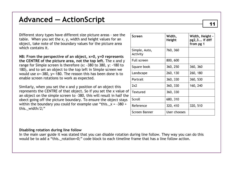Different story types have different size picture areas - see the table. When you set the x, y, width and height values for an object, take note of the boundary values for the picture area which contains it.

**NB: From the perspective of an object, x=0, y=0 represents the CENTRE of the picture area, not the top left.** The x and y range for Simple screen is therefore (x: -380 to 380, y: -180 to 180), and to set an object to the top left in Simple screen we would use x=-380, y=-180. The reason this has been done is to enable screen rotations to work as expected.

Similarly, when you set the x and y position of an object this represents the CENTRE of that object. So if you set the x value of an object on the simple screen to –380, this will result in half the obect going off the picture boundary. To ensure the object stays within the boundary you could for example use "this. $_x = -380 +$ this. width/2;"

| Screen                    | Width.<br>Height | Width, Height -<br>$pg2,3$ if diff<br>from pg 1 |
|---------------------------|------------------|-------------------------------------------------|
| Simple, Auto,<br>Activity | 760, 360         |                                                 |
| Full screen               | 800, 600         |                                                 |
| Square book               | 360, 250         | 360, 360                                        |
| Landscape                 | 260, 130         | 260, 180                                        |
| Portrait                  | 360, 330         | 360, 530                                        |
| 2x2                       | 360, 330         | 160, 240                                        |
| Textured                  | 360, 330         |                                                 |
| Scroll                    | 680, 310         |                                                 |
| Reference                 | 320, 410         | 320, 510                                        |
| Screen Banner             | User chooses     |                                                 |

#### **Disabling rotation during line follow**

 In the main user guide it was stated that you can disable rotation during line follow. They way you can do this would be to add a "this. rotation=0;" code block to each timeline frame that has a line follow action.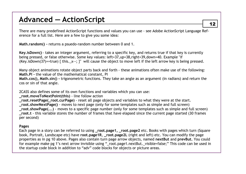There are many predefined ActionScript functions and values you can use - see Adobe ActionScript Language Reference for a full list. Here are a few to give you some idea:

**Math.random() -** returns a psuedo-random number between 0 and 1.

**Key.isDown()** - takes an integer argument, referring to a specific key, and returns true if that key is currently being pressed, or false otherwise. Some key values: left=37,up=38,right=39,down=40. Example "if (Key.isDown(37)==true)  $\{ this_1, x_2, \}$ " will cause the object to move left if the left arrow key is being pressed.

Many object animations rotate object parts back and forth - these animations often make use of the following: **Math.PI -** the value of the mathematical constant, PI

 **Math.cos(), Math.sin() -** trigonometric functions. They take an angle as an argument (in radians) and return the cos or sin of that angle.

2CASS also defines some of its own functions and variables which you can use:

**\_root.moveToNextPoint(this)** - line follow action

- **\_root.resetPage(\_root.curPage)** reset all page objects and variables to what they were at the start.
- **\_root.showNextPage()**  moves to next page (only for some templates such as simple and full screen)

 **\_root.showPage(...)** - moves to a specific page number (only for some templates such as simple and full screen) **\_root.t** - this variable stores the number of frames that have elapsed since the current page started (30 frames per second)

#### **Pages**

 Each page in a story can be referred to using **\_root.page1, \_root.page2** etc. Books with pages which turn (Square book, Portrait, Landscape etc) have **root.page1R**, **\_root.page2L** (right and left) etc. You can modify the page properties as in pg 10 above. Pages also contain turn page arrow objects, named **nextBut** and **prevBut.** You could for example make pg 1's next arrow invisible using "\_root.page1.nextBut.\_visible=false;" This code can be used in the startup code block in addition to "adv" code blocks for objects or picture areas.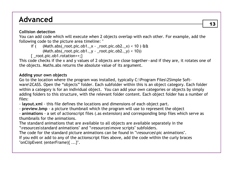### **Advanced**

### **Collision detection**

 You can add code which will execute when 2 objects overlap with each other. For example, add the following code to the picture area timeline: "

- if (  $(Math.abs(\text{root.pic.ob1.}\xtext{ root.pic.ob2.}\x)$  < 10 )  $\text{ft}$  $(Math.abs(\text{root.pic.ob1.}_y - \text{root.pic.ob2.}_y) < 10)$ 
	- $\{$  root.pic.ob1.rotation++; $\}$

 This code checks if the x and y values of 2 objects are close together—and if they are, it rotates one of the objects. Maths.abs returns the absolute value of its argument.

### **Adding your own objects**

 Go to the location where the program was installed, typically C:\Program Files\2Simple Software\2CASS. Open the "objects" folder. Each subfolder within this is an object category. Each folder within a category is for an individual object. You can add your own categories or objects by simply adding folders to this structure, with the relevant folder content. Each object folder has a number offiles:

- **layout.xml** - this file defines the locations and dimensions of each object part.

- **preview.bmp** - a picture thumbnail which the program will use to represent the object

 - **animations** - a set of actionscript files (.as extension) and corresponding bmp files which serve as thumbnails for the animations.

 The standard animations that are available to all objects are available separately in the "\resources\standard animations" and "\resources\move scripts" subfolders.

The code for the standard picture animations can be found in "\resources\pic animations".

 If you edit or add to any of the actionscript files above, add the code within the curly braces "onClipEvent (enterFrame){ ...}".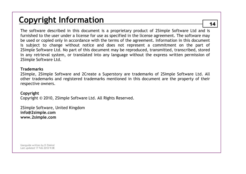### <sup>14</sup>**Copyright Information**

The software described in this document is a proprietary product of 2Simple Software Ltd and is furnished to the user under a license for use as specified in the license agreement. The software may be used or copied only in accordance with the terms of the agreement. Information in this document is subject to change without notice and does not represent a commitment on the part of 2Simple Software Ltd. No part of this document may be reproduced, transmitted, transcribed, stored in any retrieval system, or translated into any language without the express written permission of 2Simple Software Ltd.

#### **Trademarks**

 2Simple, 2Simple Software and 2Create a Superstory are trademarks of 2Simple Software Ltd. All other trademarks and registered trademarks mentioned in this document are the property of their respective owners.

### **Copyright**

Copyright © 2010, 2Simple Software Ltd. All Rights Reserved.

2Simple Software, United Kingdom **info@2simple.com www.2simple.com** 

Userguide written by D Ziskind Last updated 17 Feb 2010 9:08